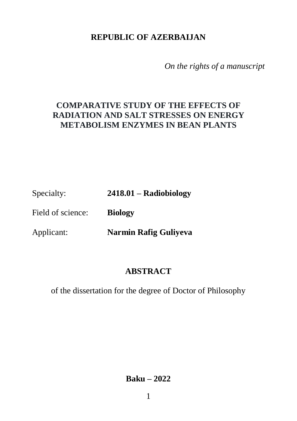## **REPUBLIC OF AZERBAIJAN**

*On the rights of a manuscript* 

# **COMPARATIVE STUDY OF THE EFFECTS OF RADIATION AND SALT STRESSES ON ENERGY METABOLISM ENZYMES IN BEAN PLANTS**

Specialty: **2418.01 – Radiobiology**

Field of science: **Biology** 

Applicant: **Narmin Rafig Guliyeva**

# **ABSTRACT**

of the dissertation for the degree of Doctor of Philosophy

**Baku – 2022**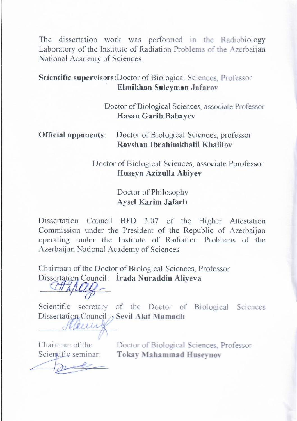The dissertation work was performed in the Radiobiology Laboratory of the Institute of Radiation Problems of the Azerbaijan National Academy of Sciences.

#### **Scientific supervisors:**Doctor of Biological Sciences, Professor **Elmikhan Suleyman Jafarov**

 Doctor of Biological Sciences, associate Professor **Hasan Garib Babayev** 

### **Official opponents**: Doctor of Biological Sciences, professor **Rovshan Ibrahimkhalil Khalilov**

Doctor of Biological Sciences, associate Pprofessor **Huseyn Azizulla Abiyev** 

### Doctor of Philosophy **Aysel Karim Jafarlı**

Dissertation Council BFD 3.07 of the Higher Attestation Commission under the President of the Republic of Azerbaijan operating under the Institute of Radiation Problems of the Azerbaijan National Academy of Sciences

Chairman of the Doctor of Biological Sciences, Professor Dissertation Council: **İrada Nuraddin Aliyeva**

 $\frac{U_1}{U_2}$ 

Scientific secretary of the Doctor of Biological Sciences Dissertation Council: Sevil Akif Mamadli

**\_\_\_\_\_\_\_\_\_\_\_\_\_\_\_\_\_\_\_**

 $\left| \frac{\partial \mathbf{u}}{\partial \mathbf{v}}\right|$ 

Chairman of the Doctor of Biological Sciences, Professor<br>Scientific seminar: Tokay Mahammad Huseynov Scientific seminar: **Tokay Mahammad Huseynov**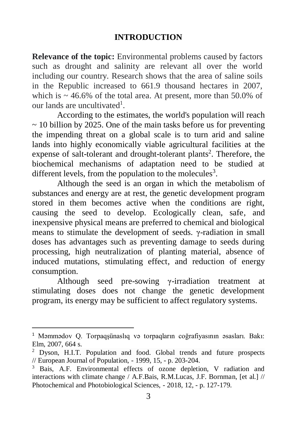### **INTRODUCTION**

**Relevance of the topic:** Environmental problems caused by factors such as drought and salinity are relevant all over the world including our country. Research shows that the area of saline soils in the Republic increased to 661.9 thousand hectares in 2007, which is  $\sim$  46.6% of the total area. At present, more than 50.0% of our lands are uncultivated<sup>1</sup>.

According to the estimates, the world's population will reach  $\sim$  10 billion by 2025. One of the main tasks before us for preventing the impending threat on a global scale is to turn arid and saline lands into highly economically viable agricultural facilities at the expense of salt-tolerant and drought-tolerant plants<sup>2</sup>. Therefore, the biochemical mechanisms of adaptation need to be studied at different levels, from the population to the molecules<sup>3</sup>.

Although the seed is an organ in which the metabolism of substances and energy are at rest, the genetic development program stored in them becomes active when the conditions are right, causing the seed to develop. Ecologically clean, safe, and inexpensive physical means are preferred to chemical and biological means to stimulate the development of seeds. γ-radiation in small doses has advantages such as preventing damage to seeds during processing, high neutralization of planting material, absence of induced mutations, stimulating effect, and reduction of energy consumption.

Although seed pre-sowing γ-irradiation treatment at stimulating doses does not change the genetic development program, its energy may be sufficient to affect regulatory systems.

 $\overline{a}$ 

<sup>1</sup> Məmmədov Q. Torpaqşünaslıq və torpaqların coğrafiyasının əsasları. Bakı: Elm, 2007, 664 s.

<sup>2</sup> Dyson, H.I.T. Population and food. Global trends and future prospects // European Journal of Population, - 1999, 15, - p. 203-204.

Bais, A.F. Environmental effects of ozone depletion, V radiation and interactions with climate change / A.F.Bais, R.M.Lucas, J.F. Bornman, [et al.] // Photochemical and Photobiological Sciences, - 2018, 12, - p. 127-179.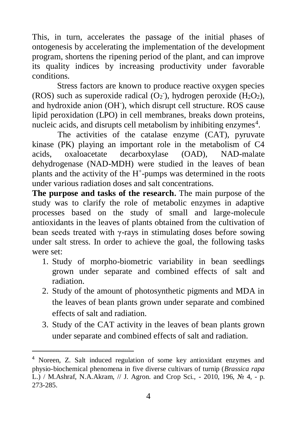This, in turn, accelerates the passage of the initial phases of ontogenesis by accelerating the implementation of the development program, shortens the ripening period of the plant, and can improve its quality indices by increasing productivity under favorable conditions.

Stress factors are known to produce reactive oxygen species (ROS) such as superoxide radical  $(O_2)$ , hydrogen peroxide  $(H_2O_2)$ , and hydroxide anion (OH), which disrupt cell structure. ROS cause lipid peroxidation (LPO) in cell membranes, breaks down proteins, nucleic acids, and disrupts cell metabolism by inhibiting enzymes<sup>4</sup>.

The activities of the catalase enzyme (CAT), pyruvate kinase (PK) playing an important role in the metabolism of C4 acids, oxaloacetate decarboxylase (OAD), NAD-malate dehydrogenase (NAD-MDH) were studied in the leaves of bean plants and the activity of the H<sup>+</sup>-pumps was determined in the roots under various radiation doses and salt concentrations.

**The purpose and tasks of the research.** The main purpose of the study was to clarify the role of metabolic enzymes in adaptive processes based on the study of small and large-molecule antioxidants in the leaves of plants obtained from the cultivation of bean seeds treated with γ-rays in stimulating doses before sowing under salt stress. In order to achieve the goal, the following tasks were set:

- 1. Study of morpho-biometric variability in bean seedlings grown under separate and combined effects of salt and radiation.
- 2. Study of the amount of photosynthetic pigments and MDA in the leaves of bean plants grown under separate and combined effects of salt and radiation.
- 3. Study of the CAT activity in the leaves of bean plants grown under separate and combined effects of salt and radiation.

 $\overline{a}$ 

<sup>4</sup> Noreen, Z. Salt induced regulation of some key antioxidant enzymes and physio-biochemical phenomena in five diverse cultivars of turnip (*Brassica rapa* L.) / M.Ashraf, N.A.Akram, // J. Agron. and Crop Sci., - 2010, 196, № 4, - p. 273-285.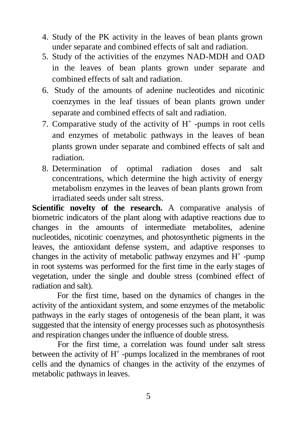- 4. Study of the PK activity in the leaves of bean plants grown under separate and combined effects of salt and radiation.
- 5. Study of the activities of the enzymes NAD-MDH and OAD in the leaves of bean plants grown under separate and combined effects of salt and radiation.
- 6. Study of the amounts of adenine nucleotides and nicotinic coenzymes in the leaf tissues of bean plants grown under separate and combined effects of salt and radiation.
- 7. Comparative study of the activity of  $H^+$  -pumps in root cells and enzymes of metabolic pathways in the leaves of bean plants grown under separate and combined effects of salt and radiation.
- 8. Determination of optimal radiation doses and salt concentrations, which determine the high activity of energy metabolism enzymes in the leaves of bean plants grown from irradiated seeds under salt stress.

**Scientific novelty of the research.** A comparative analysis of biometric indicators of the plant along with adaptive reactions due to changes in the amounts of intermediate metabolites, adenine nucleotides, nicotinic coenzymes, and photosynthetic pigments in the leaves, the antioxidant defense system, and adaptive responses to changes in the activity of metabolic pathway enzymes and  $H^+$ -pump in root systems was performed for the first time in the early stages of vegetation, under the single and double stress (combined effect of radiation and salt).

For the first time, based on the dynamics of changes in the activity of the antioxidant system, and some enzymes of the metabolic pathways in the early stages of ontogenesis of the bean plant, it was suggested that the intensity of energy processes such as photosynthesis and respiration changes under the influence of double stress.

For the first time, a correlation was found under salt stress between the activity of  $H^+$ -pumps localized in the membranes of root cells and the dynamics of changes in the activity of the enzymes of metabolic pathways in leaves.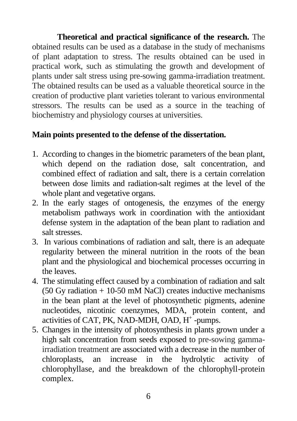**Theoretical and practical significance of the research.** The obtained results can be used as a database in the study of mechanisms of plant adaptation to stress. The results obtained can be used in practical work, such as stimulating the growth and development of plants under salt stress using pre-sowing gamma-irradiation treatment. The obtained results can be used as a valuable theoretical source in the creation of productive plant varieties tolerant to various environmental stressors. The results can be used as a source in the teaching of biochemistry and physiology courses at universities.

## **Main points presented to the defense of the dissertation.**

- 1. According to changes in the biometric parameters of the bean plant, which depend on the radiation dose, salt concentration, and combined effect of radiation and salt, there is a certain correlation between dose limits and radiation-salt regimes at the level of the whole plant and vegetative organs.
- 2. In the early stages of ontogenesis, the enzymes of the energy metabolism pathways work in coordination with the antioxidant defense system in the adaptation of the bean plant to radiation and salt stresses.
- 3. In various combinations of radiation and salt, there is an adequate regularity between the mineral nutrition in the roots of the bean plant and the physiological and biochemical processes occurring in the leaves.
- 4. The stimulating effect caused by a combination of radiation and salt  $(50 \text{ Gy radiation} + 10-50 \text{ mM NaCl})$  creates inductive mechanisms in the bean plant at the level of photosynthetic pigments, adenine nucleotides, nicotinic coenzymes, MDA, protein content, and activities of CAT, PK, NAD-MDH, OAD, H<sup>+</sup>-pumps.
- 5. Changes in the intensity of photosynthesis in plants grown under a high salt concentration from seeds exposed to pre-sowing gammairradiation treatment are associated with a decrease in the number of chloroplasts, an increase in the hydrolytic activity of chlorophyllase, and the breakdown of the chlorophyll-protein complex.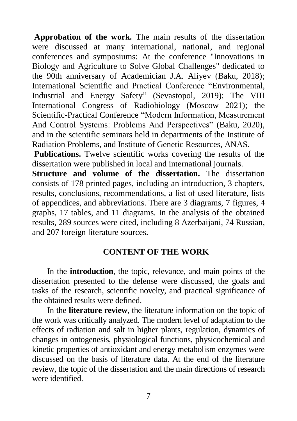**Approbation of the work.** The main results of the dissertation were discussed at many international, national, and regional conferences and symposiums: At the conference "Innovations in Biology and Agriculture to Solve Global Challenges" dedicated to the 90th anniversary of Academician J.A. Aliyev (Baku, 2018); International Scientific and Practical Conference "Environmental, Industrial and Energy Safety" (Sevastopol, 2019); The VIII International Congress of Radiobiology (Moscow 2021); the Scientific-Practical Conference "Modern Information, Measurement And Control Systems: Problems And Perspectives" (Baku, 2020), and in the scientific seminars held in departments of the Institute of Radiation Problems, and Institute of Genetic Resources, ANAS.

**Publications.** Twelve scientific works covering the results of the dissertation were published in local and international journals.

**Structure and volume of the dissertation.** The dissertation consists of 178 printed pages, including an introduction, 3 chapters, results, conclusions, recommendations, a list of used literature, lists of appendices, and abbreviations. There are 3 diagrams, 7 figures, 4 graphs, 17 tables, and 11 diagrams. In the analysis of the obtained results, 289 sources were cited, including 8 Azerbaijani, 74 Russian, and 207 foreign literature sources.

#### **CONTENT OF THE WORK**

In the **introduction**, the topic, relevance, and main points of the dissertation presented to the defense were discussed, the goals and tasks of the research, scientific novelty, and practical significance of the obtained results were defined.

In the **literature review**, the literature information on the topic of the work was critically analyzed. The modern level of adaptation to the effects of radiation and salt in higher plants, regulation, dynamics of changes in ontogenesis, physiological functions, physicochemical and kinetic properties of antioxidant and energy metabolism enzymes were discussed on the basis of literature data. At the end of the literature review, the topic of the dissertation and the main directions of research were identified.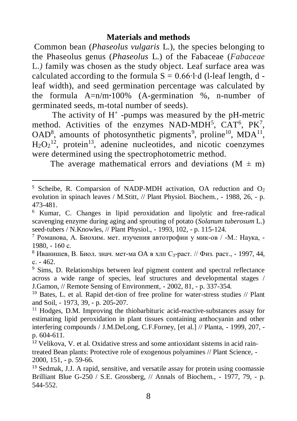#### **Materials and methods**

Common bean (*Phaseolus vulgaris* L.), the species belonging to the Phaseolus genus (*Phaseolus* L.) of the Fabaceae (*Fabaceae*  L.*)* family was chosen as the study object. Leaf surface area was calculated according to the formula  $S = 0.66 \cdot l \cdot d$  (l-leaf length, d leaf width), and seed germination percentage was calculated by the formula A=n/m**∙**100% (A-germination %, n-number of germinated seeds, m-total number of seeds).

The activity of  $H^+$ -pumps was measured by the pH-metric method. Activities of the enzymes NAD-MDH<sup>5</sup>, CAT<sup>6</sup>, PK<sup>7</sup>,  $OAD<sup>8</sup>$ , amounts of photosynthetic pigments<sup>9</sup>, proline<sup>10</sup>, MDA<sup>11</sup>,  $H_2O_2^{12}$ , protein<sup>13</sup>, adenine nucleotides, and nicotic coenzymes were determined using the spectrophotometric method.

The average mathematical errors and deviations  $(M \pm m)$ 

 $\overline{a}$ 

<sup>&</sup>lt;sup>5</sup> Scheibe, R. Comparsion of NADP-MDH activation, OA reduction and  $O_2$ evolution in spinach leaves / M.Stitt, // Plant Physiol. Biochem., - 1988, 26, - p. 473-481.

<sup>6</sup> Kumar, C. Changes in lipid peroxidation and lipolytic and free-radical scavenging enzyme during aging and sprouting of potato (*Solanum tuberosum* L.) seed-tubers / N.Knowles, // Plant Physiol., - 1993, 102, - p. 115-124.

<sup>7</sup> Романова, А. Биохим. мет. изучения автотрофии у мик-ов / -М.: Наука, - 1980, - 160 с.

 $8$  Иванишев, В. Биол. знач. мет-ма ОА в хлп С<sub>3</sub>-раст. // Физ. раст., - 1997, 44, с. - 462.

<sup>9</sup> Sims, D. Relationships between leaf pigment content and spectral reflectance across a wide range of species, leaf structures and developmental stages / J.Gamon, // Remote Sensing of Environment, - 2002, 81, - p. 337-354.

<sup>&</sup>lt;sup>10</sup> Bates, L. et al. Rapid det-tion of free proline for water-stress studies // Plant and Soil, - 1973, 39, - p. 205-207.

<sup>11</sup> Hodges, D.M. Improving the thiobarbituric acid-reactive-substances assay for estimating lipid peroxidation in plant tissues containing anthocyanin and other interfering compounds / J.M.DeLong, C.F.Forney, [et al.] // Planta, - 1999, 207, p. 604-611.

<sup>12</sup> Velikova, V. et al. Oxidative stress and some antioxidant sistems in acid raintreated Bean plants: Protective role of exogenous polyamines // Plant Science, - 2000, 151, - p. 59-66.

<sup>13</sup> Sedmak, J.J. A rapid, sensitive, and versatile assay for protein using coomassie Brilliant Blue G-250 / S.E. Grossberg, // Annals of Biochem., - 1977, 79, - p. 544-552.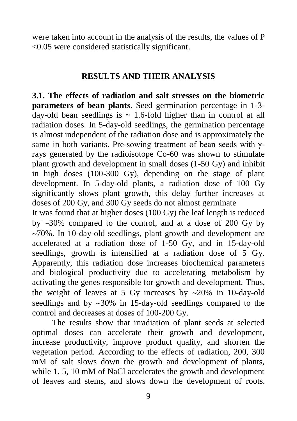were taken into account in the analysis of the results, the values of P <0.05 were considered statistically significant.

## **RESULTS AND THEIR ANALYSIS**

**3.1. The effects of radiation and salt stresses on the biometric parameters of bean plants.** Seed germination percentage in 1-3 day-old bean seedlings is  $\sim$  1.6-fold higher than in control at all radiation doses. In 5-day-old seedlings, the germination percentage is almost independent of the radiation dose and is approximately the same in both variants. Pre-sowing treatment of bean seeds with γrays generated by the radioisotope Co-60 was shown to stimulate plant growth and development in small doses (1-50 Gy) and inhibit in high doses (100-300 Gy), depending on the stage of plant development. In 5-day-old plants, a radiation dose of 100 Gy significantly slows plant growth, this delay further increases at doses of 200 Gy, and 300 Gy seeds do not almost germinate

It was found that at higher doses (100 Gy) the leaf length is reduced by 30% compared to the control, and at a dose of 200 Gy by  $\sim$ 70%. In 10-day-old seedlings, plant growth and development are accelerated at a radiation dose of 1-50 Gy, and in 15-day-old seedlings, growth is intensified at a radiation dose of 5 Gy. Apparently, this radiation dose increases biochemical parameters and biological productivity due to accelerating metabolism by activating the genes responsible for growth and development. Thus, the weight of leaves at 5 Gy increases by  $\sim$ 20% in 10-day-old seedlings and by  $\sim$ 30% in 15-day-old seedlings compared to the control and decreases at doses of 100-200 Gy.

The results show that irradiation of plant seeds at selected optimal doses can accelerate their growth and development, increase productivity, improve product quality, and shorten the vegetation period. According to the effects of radiation, 200, 300 mM of salt slows down the growth and development of plants, while 1, 5, 10 mM of NaCl accelerates the growth and development of leaves and stems, and slows down the development of roots.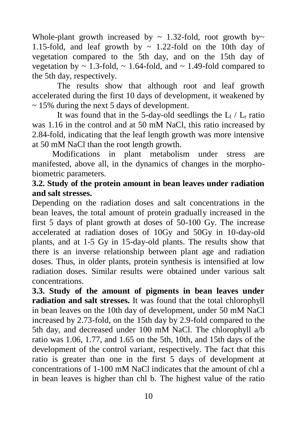Whole-plant growth increased by  $\sim$  1.32-fold, root growth by $\sim$ 1.15-fold, and leaf growth by  $\sim$  1.22-fold on the 10th day of vegetation compared to the 5th day, and on the 15th day of vegetation by  $\sim 1.3$ -fold,  $\sim 1.64$ -fold, and  $\sim 1.49$ -fold compared to the 5th day, respectively.

The results show that although root and leaf growth accelerated during the first 10 days of development, it weakened by  $\sim$  15% during the next 5 days of development.

It was found that in the 5-day-old seedlings the  $L_1 / L_r$  ratio was 1.16 in the control and at 50 mM NaCl, this ratio increased by 2.84-fold, indicating that the leaf length growth was more intensive at 50 mM NaCl than the root length growth.

Modifications in plant metabolism under stress are manifested, above all, in the dynamics of changes in the morphobiometric parameters.

## **3.2. Study of the protein amount in bean leaves under radiation and salt stresses.**

Depending on the radiation doses and salt concentrations in the bean leaves, the total amount of protein gradually increased in the first 5 days of plant growth at doses of 50-100 Gy. The increase accelerated at radiation doses of 10Gy and 50Gy in 10-day-old plants, and at 1-5 Gy in 15-day-old plants. The results show that there is an inverse relationship between plant age and radiation doses. Thus, in older plants, protein synthesis is intensified at low radiation doses. Similar results were obtained under various salt concentrations.

**3.3. Study of the amount of pigments in bean leaves under radiation and salt stresses.** It was found that the total chlorophyll in bean leaves on the 10th day of development, under 50 mM NaCl increased by 2.73-fold, on the 15th day by 2.9-fold compared to the 5th day, and decreased under 100 mM NaCl. The chlorophyll a/b ratio was 1.06, 1.77, and 1.65 on the 5th, 10th, and 15th days of the development of the control variant, respectively. The fact that this ratio is greater than one in the first 5 days of development at concentrations of 1-100 mM NaCl indicates that the amount of chl a in bean leaves is higher than chl b. The highest value of the ratio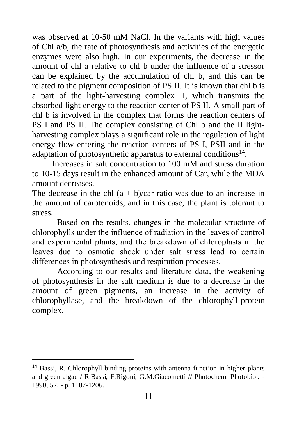was observed at 10-50 mM NaCl. In the variants with high values of Chl a/b, the rate of photosynthesis and activities of the energetic enzymes were also high. In our experiments, the decrease in the amount of chl a relative to chl b under the influence of a stressor can be explained by the accumulation of chl b, and this can be related to the pigment composition of PS II. It is known that chl b is a part of the light-harvesting complex II, which transmits the absorbed light energy to the reaction center of PS II. A small part of chl b is involved in the complex that forms the reaction centers of PS I and PS II. The complex consisting of Chl b and the II lightharvesting complex plays a significant role in the regulation of light energy flow entering the reaction centers of PS I, PSII and in the adaptation of photosynthetic apparatus to external conditions $^{14}$ .

Increases in salt concentration to 100 mM and stress duration to 10-15 days result in the enhanced amount of Car, while the MDA amount decreases.

The decrease in the chl  $(a + b)/car$  ratio was due to an increase in the amount of carotenoids, and in this case, the plant is tolerant to stress.

Based on the results, changes in the molecular structure of chlorophylls under the influence of radiation in the leaves of control and experimental plants, and the breakdown of chloroplasts in the leaves due to osmotic shock under salt stress lead to certain differences in photosynthesis and respiration processes.

According to our results and literature data, the weakening of photosynthesis in the salt medium is due to a decrease in the amount of green pigments, an increase in the activity of chlorophyllase, and the breakdown of the chlorophyll-protein complex.

 $\overline{a}$ 

<sup>&</sup>lt;sup>14</sup> Bassi, R. Chlorophyll binding proteins with antenna function in higher plants and green algae / R.Bassi, F.Rigoni, G.M.Giacometti // Photochem. Photobiol. - 1990, 52, - p. 1187-1206.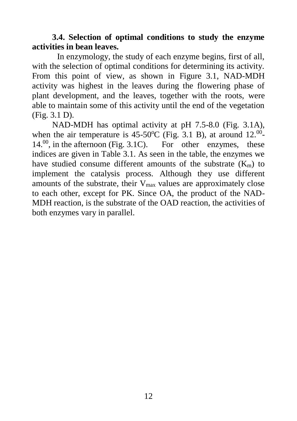## **3.4. Selection of optimal conditions to study the enzyme activities in bean leaves.**

In enzymology, the study of each enzyme begins, first of all, with the selection of optimal conditions for determining its activity. From this point of view, as shown in Figure 3.1, NAD-MDH activity was highest in the leaves during the flowering phase of plant development, and the leaves, together with the roots, were able to maintain some of this activity until the end of the vegetation (Fig. 3.1 D).

NAD-MDH has optimal activity at pH 7.5-8.0 (Fig. 3.1A), when the air temperature is 45-50 °C (Fig. 3.1 B), at around  $12^{00}$ - $14^{00}$ , in the afternoon (Fig. 3.1C). For other enzymes, these indices are given in Table 3.1. As seen in the table, the enzymes we have studied consume different amounts of the substrate  $(K<sub>m</sub>)$  to implement the catalysis process. Although they use different amounts of the substrate, their  $V_{\text{max}}$  values are approximately close to each other, except for PK. Since OA, the product of the NAD-MDH reaction, is the substrate of the OAD reaction, the activities of both enzymes vary in parallel.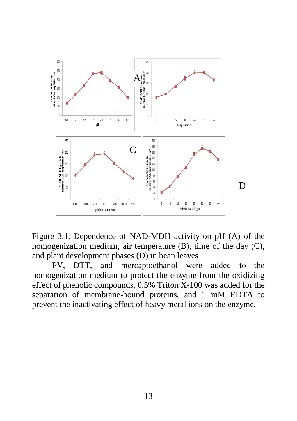

Figure 3.1. Dependence of NAD-MDH activity on pH (A) of the homogenization medium, air temperature (B), time of the day (C), and plant development phases (D) in bean leaves

PV, DTT, and mercaptoethanol were added to the homogenization medium to protect the enzyme from the oxidizing effect of phenolic compounds, 0.5% Triton X-100 was added for the separation of membrane-bound proteins, and 1 mM EDTA to prevent the inactivating effect of heavy metal ions on the enzyme.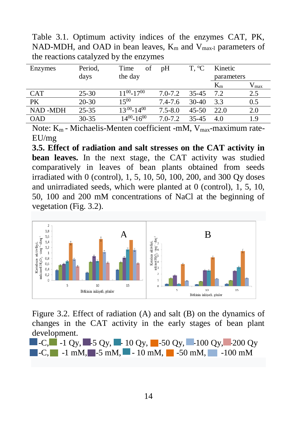Table 3.1. Optimum activity indices of the enzymes CAT, PK, NAD-MDH, and OAD in bean leaves,  $K_m$  and  $V_{max-1}$  parameters of the reactions catalyzed by the enzymes

| Period,   | Time<br>οf           | pΗ          | T. °C     | Kinetic    |               |
|-----------|----------------------|-------------|-----------|------------|---------------|
| days      | the day              |             |           | parameters |               |
|           |                      |             |           | $K_{m}$    | $V_{\rm max}$ |
| $25 - 30$ | $11^{00} - 17^{00}$  | $7.0 - 7.2$ | $35 - 45$ | 7.2        | 2.5           |
| $20 - 30$ | 1500                 | $7.4 - 7.6$ | $30-40$   | 3.3        | 0.5           |
| $25 - 35$ | $13^{.00} - 14^{00}$ | $7.5 - 8.0$ | $45 - 50$ | 22.0       | 2.0           |
| $30 - 35$ | $14^{00} - 16^{00}$  | $7.0 - 7.2$ | $35 - 45$ | 4.0        | 1.9           |
|           |                      |             |           |            |               |

Note:  $K_m$  - Michaelis-Menten coefficient -mM,  $V_{max}$ -maximum rate-EU/mg

**3.5. Effect of radiation and salt stresses on the CAT activity in bean leaves.** In the next stage, the CAT activity was studied comparatively in leaves of bean plants obtained from seeds irradiated with 0 (control), 1, 5, 10, 50, 100, 200, and 300 Qy doses and unirradiated seeds, which were planted at 0 (control), 1, 5, 10, 50, 100 and 200 mM concentrations of NaCl at the beginning of vegetation (Fig. 3.2).



Figure 3.2. Effect of radiation (A) and salt (B) on the dynamics of changes in the CAT activity in the early stages of bean plant development.

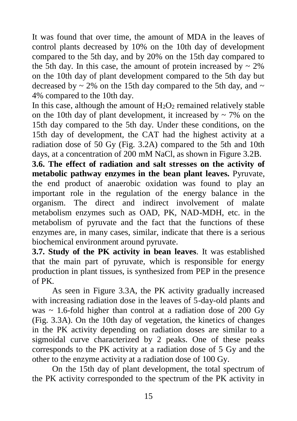It was found that over time, the amount of MDA in the leaves of control plants decreased by 10% on the 10th day of development compared to the 5th day, and by 20% on the 15th day compared to the 5th day. In this case, the amount of protein increased by  $\sim 2\%$ on the 10th day of plant development compared to the 5th day but decreased by  $\sim$  2% on the 15th day compared to the 5th day, and  $\sim$ 4% compared to the 10th day.

In this case, although the amount of  $H_2O_2$  remained relatively stable on the 10th day of plant development, it increased by  $\sim$  7% on the 15th day compared to the 5th day. Under these conditions, on the 15th day of development, the CAT had the highest activity at a radiation dose of 50 Gy (Fig. 3.2A) compared to the 5th and 10th days, at a concentration of 200 mM NaCl, as shown in Figure 3.2B.

**3.6. The effect of radiation and salt stresses on the activity of metabolic pathway enzymes in the bean plant leaves.** Pyruvate, the end product of anaerobic oxidation was found to play an important role in the regulation of the energy balance in the organism. The direct and indirect involvement of malate metabolism enzymes such as OAD, PK, NAD-MDH, etc. in the metabolism of pyruvate and the fact that the functions of these enzymes are, in many cases, similar, indicate that there is a serious biochemical environment around pyruvate.

**3.7. Study of the PK activity in bean leaves***.* It was established that the main part of pyruvate, which is responsible for energy production in plant tissues, is synthesized from PEP in the presence of PK.

As seen in Figure 3.3A, the PK activity gradually increased with increasing radiation dose in the leaves of 5-day-old plants and was  $\sim$  1.6-fold higher than control at a radiation dose of 200 Gy (Fig. 3.3A). On the 10th day of vegetation, the kinetics of changes in the PK activity depending on radiation doses are similar to a sigmoidal curve characterized by 2 peaks. One of these peaks corresponds to the PK activity at a radiation dose of 5 Gy and the other to the enzyme activity at a radiation dose of 100 Gy.

On the 15th day of plant development, the total spectrum of the PK activity corresponded to the spectrum of the PK activity in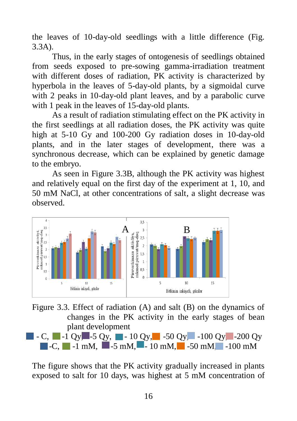the leaves of 10-day-old seedlings with a little difference (Fig. 3.3A).

Thus, in the early stages of ontogenesis of seedlings obtained from seeds exposed to pre-sowing gamma-irradiation treatment with different doses of radiation, PK activity is characterized by hyperbola in the leaves of 5-day-old plants, by a sigmoidal curve with 2 peaks in 10-day-old plant leaves, and by a parabolic curve with 1 peak in the leaves of 15-day-old plants.

As a result of radiation stimulating effect on the PK activity in the first seedlings at all radiation doses, the PK activity was quite high at 5-10 Gy and 100-200 Gy radiation doses in 10-day-old plants, and in the later stages of development, there was a synchronous decrease, which can be explained by genetic damage to the embryo.

As seen in Figure 3.3B, although the PK activity was highest and relatively equal on the first day of the experiment at 1, 10, and 50 mM NaCl, at other concentrations of salt, a slight decrease was observed.



Figure 3.3. Effect of radiation (A) and salt (B) on the dynamics of changes in the PK activity in the early stages of bean plant development  $\blacksquare$  - C,  $\blacksquare$  -1 Qy,  $\blacksquare$  -5 Qy,  $\blacksquare$  -10 Qy,  $\blacksquare$  -50 Qy,  $\blacksquare$  -100 Qy  $\blacksquare$  -200 Qy  $\blacksquare$ -C,  $\blacksquare$  -1 mM,  $\blacksquare$  -5 mM,  $\blacksquare$  -10 mM,  $\blacksquare$  -50 mM,  $\blacksquare$  -100 mM

The figure shows that the PK activity gradually increased in plants exposed to salt for 10 days, was highest at 5 mM concentration of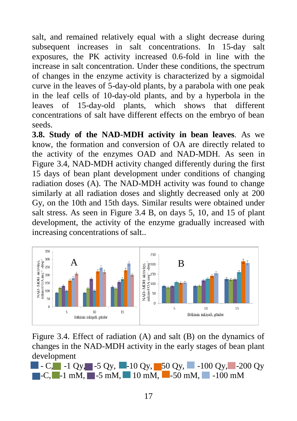salt, and remained relatively equal with a slight decrease during subsequent increases in salt concentrations. In 15-day salt exposures, the PK activity increased 0.6-fold in line with the increase in salt concentration. Under these conditions, the spectrum of changes in the enzyme activity is characterized by a sigmoidal curve in the leaves of 5-day-old plants, by a parabola with one peak in the leaf cells of 10-day-old plants, and by a hyperbola in the leaves of 15-day-old plants, which shows that different concentrations of salt have different effects on the embryo of bean seeds.

**3.8. Study of the NAD-MDH activity in bean leaves***.* As we know, the formation and conversion of OA are directly related to the activity of the enzymes OAD and NAD-MDH. As seen in Figure 3.4, NAD-MDH activity changed differently during the first 15 days of bean plant development under conditions of changing radiation doses (A). The NAD-MDH activity was found to change similarly at all radiation doses and slightly decreased only at 200 Gy, on the 10th and 15th days. Similar results were obtained under salt stress. As seen in Figure 3.4 B, on days 5, 10, and 15 of plant development, the activity of the enzyme gradually increased with increasing concentrations of salt..



Figure 3.4. Effect of radiation (A) and salt (B) on the dynamics of changes in the NAD-MDH activity in the early stages of bean plant development

 $\blacksquare$  - C,  $\blacksquare$  -1 Oy,  $\blacksquare$  -5 Oy,  $\blacksquare$  -10 Oy,  $\blacksquare$  -100 Oy,  $\blacksquare$  -200 Oy  $\blacksquare$ -C,  $\blacksquare$ -1 mM,  $\blacksquare$ -5 mM,  $\blacksquare$ -100 mM,  $\blacksquare$ -100 mM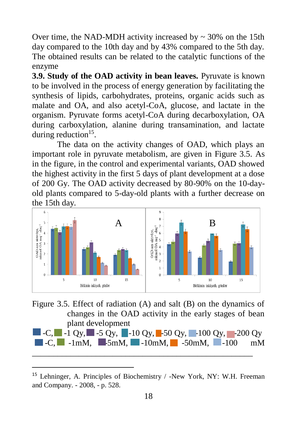Over time, the NAD-MDH activity increased by  $\sim$  30% on the 15th day compared to the 10th day and by 43% compared to the 5th day. The obtained results can be related to the catalytic functions of the enzyme

**3.9. Study of the OAD activity in bean leaves***.* Pyruvate is known to be involved in the process of energy generation by facilitating the synthesis of lipids, carbohydrates, proteins, organic acids such as malate and OA, and also acetyl-CoA, glucose, and lactate in the organism. Pyruvate forms acetyl-CoA during decarboxylation, OA during carboxylation, alanine during transamination, and lactate during reduction<sup>15</sup>.

The data on the activity changes of OAD, which plays an important role in pyruvate metabolism, are given in Figure 3.5. As in the figure, in the control and experimental variants, OAD showed the highest activity in the first 5 days of plant development at a dose of 200 Gy. The OAD activity decreased by 80-90% on the 10-dayold plants compared to 5-day-old plants with a further decrease on the 15th day.



Figure 3.5. Effect of radiation (A) and salt (B) on the dynamics of changes in the OAD activity in the early stages of bean plant development

|  |                                                                                                                                 | $\blacksquare$ -C, $\blacksquare$ -1 Qy, $\blacksquare$ -5 Qy, $\blacksquare$ -10 Qy, $\blacksquare$ -50 Qy, $\blacksquare$ -100 Qy, $\blacksquare$ -200 Qy |  |
|--|---------------------------------------------------------------------------------------------------------------------------------|-------------------------------------------------------------------------------------------------------------------------------------------------------------|--|
|  | $\blacksquare$ -C, $\blacksquare$ -1mM, $\blacksquare$ -5mM, $\blacksquare$ -10mM, $\blacksquare$ -50mM, $\blacksquare$ -100 mM |                                                                                                                                                             |  |
|  |                                                                                                                                 |                                                                                                                                                             |  |

<sup>15</sup> Lehninger, A. Principles of Biochemistry / -New York, NY: W.H. Freeman and Company. - 2008, - p. 528.

l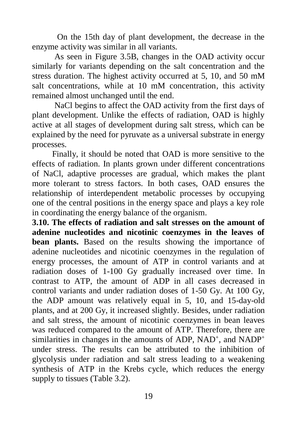On the 15th day of plant development, the decrease in the enzyme activity was similar in all variants.

As seen in Figure 3.5B, changes in the OAD activity occur similarly for variants depending on the salt concentration and the stress duration. The highest activity occurred at 5, 10, and 50 mM salt concentrations, while at 10 mM concentration, this activity remained almost unchanged until the end.

NaCl begins to affect the OAD activity from the first days of plant development. Unlike the effects of radiation, OAD is highly active at all stages of development during salt stress, which can be explained by the need for pyruvate as a universal substrate in energy processes.

Finally, it should be noted that OAD is more sensitive to the effects of radiation. In plants grown under different concentrations of NaCl, adaptive processes are gradual, which makes the plant more tolerant to stress factors. In both cases, OAD ensures the relationship of interdependent metabolic processes by occupying one of the central positions in the energy space and plays a key role in coordinating the energy balance of the organism.

**3.10. The effects of radiation and salt stresses on the amount of adenine nucleotides and nicotinic coenzymes in the leaves of bean plants.** Based on the results showing the importance of adenine nucleotides and nicotinic coenzymes in the regulation of energy processes, the amount of ATP in control variants and at radiation doses of 1-100 Gy gradually increased over time. In contrast to ATP, the amount of ADP in all cases decreased in control variants and under radiation doses of 1-50 Gy. At 100 Gy, the ADP amount was relatively equal in 5, 10, and 15-day-old plants, and at 200 Gy, it increased slightly. Besides, under radiation and salt stress, the amount of nicotinic coenzymes in bean leaves was reduced compared to the amount of ATP. Therefore, there are similarities in changes in the amounts of ADP, NAD<sup>+</sup>, and NADP<sup>+</sup> under stress. The results can be attributed to the inhibition of glycolysis under radiation and salt stress leading to a weakening synthesis of ATP in the Krebs cycle, which reduces the energy supply to tissues (Table 3.2).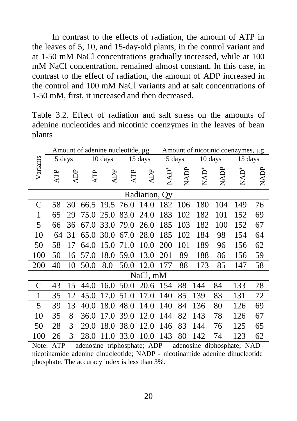In contrast to the effects of radiation, the amount of ATP in the leaves of 5, 10, and 15-day-old plants, in the control variant and at 1-50 mM NaCl concentrations gradually increased, while at 100 mM NaCl concentration, remained almost constant. In this case, in contrast to the effect of radiation, the amount of ADP increased in the control and 100 mM NaCl variants and at salt concentrations of 1-50 mM, first, it increased and then decreased.

Table 3.2. Effect of radiation and salt stress on the amounts of adenine nucleotides and nicotinic coenzymes in the leaves of bean plants

|                                                |            |     |           |         | Amount of adenine nucleotide, µg |               | Amount of nicotinic coenzymes, µg |        |          |         |                                                                             |      |
|------------------------------------------------|------------|-----|-----------|---------|----------------------------------|---------------|-----------------------------------|--------|----------|---------|-----------------------------------------------------------------------------|------|
|                                                | 5 days     |     |           | 10 days |                                  | 15 days       |                                   | 5 days |          | 10 days | 15 days                                                                     |      |
| Variants                                       | <b>ATP</b> | ĄDP | Ę         | Я       | Ą                                | ADP           | <b>QVN</b>                        | NADP   | Q<br>NAD | NADP    | Q<br>NAD                                                                    | NADP |
|                                                |            |     |           |         |                                  | Radiation, Qy |                                   |        |          |         |                                                                             |      |
| $\mathsf{C}$                                   | 58         | 30  | 66.5 19.5 |         | 76.0                             | 14.0          | 182                               | 106    | 180      | 104     | 149                                                                         | 76   |
| 1                                              | 65         | 29  | 75.0      | 25.0    | 83.0                             | 24.0          | 183                               | 102    | 182      | 101     | 152                                                                         | 69   |
| 5                                              | 66         | 36  | 67.0      | 33.0    | 79.0                             | 26.0          | 185                               | 103    | 182      | 100     | 152                                                                         | 67   |
| 10                                             | 64         | 31  | 65.0      | 30.0    | 67.0                             | 28.0          | 185                               | 102    | 184      | 98      | 154                                                                         | 64   |
| 50                                             | 58         | 17  | 64.0      | 15.0    | 71.0                             | 10.0          | 200                               | 101    | 189      | 96      | 156                                                                         | 62   |
| 100                                            | 50         | 16  | 57.0      | 18.0    | 59.0                             | 13.0          | 201                               | 89     | 188      | 86      | 156                                                                         | 59   |
| 200                                            | 40         | 10  | 50.0      | 8.0     | 50.0                             | 12.0          | 177                               | 88     | 173      | 85      | 147                                                                         | 58   |
|                                                |            |     |           |         |                                  | NaCl, mM      |                                   |        |          |         |                                                                             |      |
| $\mathsf{C}$                                   | 43         | 15  | 44.0      | 16.0    | 50.0                             | 20.6          | 154                               | 88     | 144      | 84      | 133                                                                         | 78   |
| 1                                              | 35         | 12  | 45.0      | 17.0    | 51.0                             | 17.0          | 140                               | 85     | 139      | 83      | 131                                                                         | 72   |
| 5                                              | 39         | 13  | 40.0      | 18.0    | 48.0                             | 14.0          | 140                               | 84     | 136      | 80      | 126                                                                         | 69   |
| 10                                             | 35         | 8   | 36.0      | 17.0    | 39.0                             | 12.0          | 144                               | 82     | 143      | 78      | 126                                                                         | 67   |
| 50                                             | 28         | 3   | 29.0      | 18.0    | 38.0                             | 12.0          | 146                               | 83     | 144      | 76      | 125                                                                         | 65   |
| 100                                            | 26         | 3   | 28.0      | 11.0    | 33.0                             | 10.0          | 143                               | 80     | 142      | 74      | 123                                                                         | 62   |
|                                                |            |     |           |         |                                  |               |                                   |        |          |         | Note: ATP - adenosine triphosphate; ADP - adenosine diphosphate; NAD-       |      |
|                                                |            |     |           |         |                                  |               |                                   |        |          |         | nicotinamide adenine dinucleotide; NADP - nicotinamide adenine dinucleotide |      |
| phosphate. The accuracy index is less than 3%. |            |     |           |         |                                  |               |                                   |        |          |         |                                                                             |      |

Note: ATP - adenosine triphosphate; ADP - adenosine diphosphate; NADnicotinamide adenine dinucleotide; NADP - nicotinamide adenine dinucleotide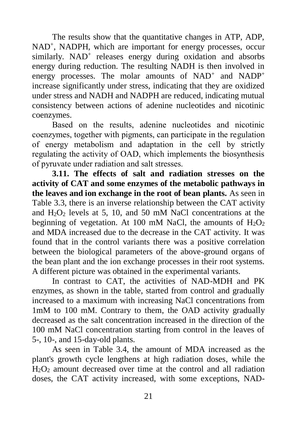The results show that the quantitative changes in ATP, ADP, NAD<sup>+</sup>, NADPH, which are important for energy processes, occur similarly. NAD<sup>+</sup> releases energy during oxidation and absorbs energy during reduction. The resulting NADH is then involved in energy processes. The molar amounts of NAD<sup>+</sup> and NADP<sup>+</sup> increase significantly under stress, indicating that they are oxidized under stress and NADH and NADPH are reduced, indicating mutual consistency between actions of adenine nucleotides and nicotinic coenzymes.

Based on the results, adenine nucleotides and nicotinic coenzymes, together with pigments, can participate in the regulation of energy metabolism and adaptation in the cell by strictly regulating the activity of OAD, which implements the biosynthesis of pyruvate under radiation and salt stresses.

**3.11. The effects of salt and radiation stresses on the activity of CAT and some enzymes of the metabolic pathways in the leaves and ion exchange in the root of bean plants.** As seen in Table 3.3, there is an inverse relationship between the CAT activity and  $H_2O_2$  levels at 5, 10, and 50 mM NaCl concentrations at the beginning of vegetation. At 100 mM NaCl, the amounts of  $H_2O_2$ and MDA increased due to the decrease in the CAT activity. It was found that in the control variants there was a positive correlation between the biological parameters of the above-ground organs of the bean plant and the ion exchange processes in their root systems. A different picture was obtained in the experimental variants.

In contrast to CAT, the activities of NAD-MDH and PK enzymes, as shown in the table, started from control and gradually increased to a maximum with increasing NaCl concentrations from 1mM to 100 mM. Contrary to them, the OAD activity gradually decreased as the salt concentration increased in the direction of the 100 mM NaCl concentration starting from control in the leaves of 5-, 10-, and 15-day-old plants.

As seen in Table 3.4, the amount of MDA increased as the plant's growth cycle lengthens at high radiation doses, while the  $H_2O_2$  amount decreased over time at the control and all radiation doses, the CAT activity increased, with some exceptions, NAD-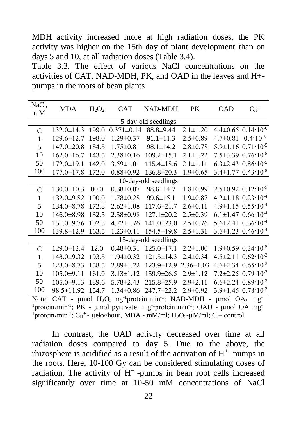MDH activity increased more at high radiation doses, the PK activity was higher on the 15th day of plant development than on days 5 and 10, at all radiation doses (Table 3.4).

Table 3.3. The effect of various NaCl concentrations on the activities of CAT, NAD-MDH, PK, and OAD in the leaves and H+ pumps in the roots of bean plants

| NaCl,         | MDA                 | $H_2O_2$ | CAT              | NAD-MDH              | PK              | OAD            | $C_H$ <sup>+</sup>                           |  |  |  |
|---------------|---------------------|----------|------------------|----------------------|-----------------|----------------|----------------------------------------------|--|--|--|
| mM            |                     |          |                  |                      |                 |                |                                              |  |  |  |
|               | 5-day-old seedlings |          |                  |                      |                 |                |                                              |  |  |  |
| $\mathcal{C}$ | $132.0 \pm 14.3$    | 199.0    | $0.371 \pm 0.14$ | $88.8 \pm 9.44$      | $2.1 \pm 1.20$  |                | $4.4\pm0.65$ 0.14 $\cdot$ 10 <sup>-6</sup>   |  |  |  |
| 1             | $129.6 \pm 12.7$    | 198.0    | $1.29 \pm 0.37$  | $91.1 \pm 11.3$      | $2.5 \pm 0.89$  | $4.7 \pm 0.81$ | $0.4 \cdot 10^{-5}$                          |  |  |  |
| 5             | $147.0 \pm 20.8$    | 184.5    | $1.75 \pm 0.81$  | $98.1 \pm 14.2$      | $2.8 \pm 0.78$  |                | $5.9 \pm 1.16$ $0.71 \cdot 10^{-5}$          |  |  |  |
| 10            | $162.0 \pm 16.7$    | 143.5    | $2.38\pm0.16$    | $109.2 \pm 15.1$     | $2.1 \pm 1.22$  |                | $7.5 \pm 3.39$ $0.76 \cdot 10^{-5}$          |  |  |  |
| 50            | $172.0 \pm 19.1$    | 142.0    | $3.59 \pm 1.01$  | $115.4 \pm 18.6$     | $2.1 \pm 1.11$  |                | $6.3\pm2.43$ $0.86\cdot10^{-5}$              |  |  |  |
| 100           | $177.0 \pm 17.8$    | 172.0    | $0.88 \pm 0.92$  | $136.8 \pm 20.3$     | $1.9 \pm 0.65$  |                | $3.4\pm1.77$ $0.43\cdot10^{-5}$              |  |  |  |
|               |                     |          |                  | 10-day-old seedlings |                 |                |                                              |  |  |  |
| $\mathcal{C}$ | $130.0 \pm 10.3$    | 00.0     | $0.38 \pm 0.07$  | $98.6 \pm 14.7$      | $1.8 \pm 0.99$  |                | $2.5 \pm 0.92$ 0.12 $\cdot$ 10 <sup>-5</sup> |  |  |  |
| 1             | 132.0±9.82          | 190.0    | $1.78 \pm 0.28$  | $99.6 \pm 15.1$      | $1.9 \pm 0.87$  |                | $4.2 \pm 1.18$ $0.23 \cdot 10^{-4}$          |  |  |  |
| 5             | $134.0 \pm 8.78$    | 172.8    | $2.62 \pm 1.08$  | $117.6 \pm 21.7$     | $2.6 \pm 0.11$  |                | $4.9 \pm 1.15$ $0.55 \cdot 10^{-4}$          |  |  |  |
| 10            | $146.0 \pm 8.98$    | 132.5    | $2.58 \pm 0.98$  | $127.1 \pm 20.2$     | $2.5 \pm 0.39$  |                | $6.1 \pm 1.47$ $0.66 \cdot 10^{-4}$          |  |  |  |
| 50            | 151.0±9.76          | 102.3    | $4.72 \pm 1.76$  | $141.0 \pm 23.0$     | $2.5 \pm 0.76$  |                | $5.6 \pm 2.41$ $0.56 \cdot 10^{-4}$          |  |  |  |
| 100           | 139.8±12.9          | 163.5    | $1.23 \pm 0.11$  | $154.5 \pm 19.8$     | $2.5 \pm 1.31$  |                | $3.6 \pm 1.23$ 0.46 $\cdot$ 10 <sup>-4</sup> |  |  |  |
|               |                     |          |                  | 15-day-old seedlings |                 |                |                                              |  |  |  |
| C             | 129.0±12.4          | 12.0     | $0.48 \pm 0.31$  | $125.0 \pm 17.1$     | $2.2 \pm 1.00$  |                | $1.9\pm0.59$ $0.24\cdot10^{-5}$              |  |  |  |
| 1             | 148.0±9.32          | 193.5    | $1.94 \pm 0.32$  | $121.5 \pm 14.3$     | $2.4 \pm 0.34$  |                | $4.5 \pm 2.11$ $0.62 \cdot 10^{-3}$          |  |  |  |
| 5             | $123.0 \pm 8.73$    | 158.5    | $2.89 \pm 1.22$  | $123.9 \pm 12.9$     | $2.36 \pm 1.03$ |                | $4.6 \pm 2.34$ $0.65 \cdot 10^{-3}$          |  |  |  |
| 10            | $105.0 \pm 9.11$    | 161.0    | $3.13 \pm 1.12$  | $159.9 \pm 26.5$     | $2.9 \pm 1.12$  |                | $7.2\pm2.25$ 0.79 $\cdot10^{-3}$             |  |  |  |
| 50            | $105.0 \pm 9.13$    | 189.6    | $5.78 \pm 2.43$  | $215.8 \pm 25.9$     | $2.9 \pm 2.11$  |                | $6.6\pm2.24$ $0.89\cdot10^{-3}$              |  |  |  |
| 100           | 98.5 ± 11.92        | 154.7    | $1.34 \pm 0.86$  | 247.7±22.2           | $2.9 \pm 0.92$  |                | $3.9 \pm 1.45$ $0.78 \cdot 10^{-3}$          |  |  |  |

Note: CAT - μmol H<sub>2</sub>O<sub>2</sub>·mg<sup>-1</sup>protein·min<sup>-1</sup>; NAD-MDH - μmol OA· mg  $1$ protein·min<sup>-1</sup>; PK - µmol pyruvate· mg<sup>-1</sup>protein·min<sup>-1</sup>; OAD - µmol OA mg  $1$ protein·min<sup>-1</sup>; C<sub>H</sub><sup>+</sup> - µekv/hour, MDA - mM/ml; H<sub>2</sub>O<sub>2</sub>-µM/ml; C – control

In contrast, the OAD activity decreased over time at all radiation doses compared to day 5. Due to the above, the rhizosphere is acidified as a result of the activation of  $H^+$ -pumps in the roots. Here, 10-100 Gy can be considered stimulating doses of radiation. The activity of  $H^+$ -pumps in bean root cells increased significantly over time at 10-50 mM concentrations of NaCl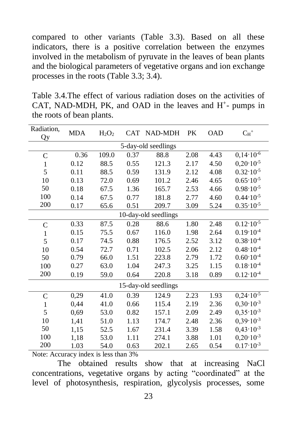compared to other variants (Table 3.3). Based on all these indicators, there is a positive correlation between the enzymes involved in the metabolism of pyruvate in the leaves of bean plants and the biological parameters of vegetative organs and ion exchange processes in the roots (Table 3.3; 3.4).

Table 3.4.The effect of various radiation doses on the activities of CAT, NAD-MDH, PK, and OAD in the leaves and  $H^+$ - pumps in the roots of bean plants.

| Radiation,<br>Qy     | <b>MDA</b> | $H_2O_2$<br><b>CAT</b> |      | NAD-MDH              | PK   | <b>OAD</b> | $\mathrm{C_{H}}^{+}$          |  |  |
|----------------------|------------|------------------------|------|----------------------|------|------------|-------------------------------|--|--|
|                      |            |                        |      | 5-day-old seedlings  |      |            |                               |  |  |
| $\mathcal{C}$        | 0.36       | 109.0                  | 0.37 | 88.8                 | 2.08 | 4.43       | $0,14\cdot\overline{10^{-6}}$ |  |  |
| 1                    | 0.12       | 88.5                   | 0.55 | 121.3                | 2.17 | 4.50       | $0,20.10^{-5}$                |  |  |
| 5                    | 0.11       | 88.5                   | 0.59 | 131.9                | 2.12 | 4.08       | $0.32 \cdot 10^{-5}$          |  |  |
| 10                   | 0.13       | 72.0                   | 0.69 | 101.2                | 2.46 | 4.65       | $0.65 \cdot 10^{-5}$          |  |  |
| 50                   | 0.18       | 67.5                   | 1.36 | 165.7                | 2.53 | 4.66       | $0.98 \cdot 10^{-5}$          |  |  |
| 100                  |            |                        |      |                      |      |            | $0.44 \cdot 10^{-5}$          |  |  |
| 200                  | 0.14       | 67.5                   | 0.77 | 181.8                | 2.77 | 4.60       |                               |  |  |
|                      | 0.17       | 65.6                   | 0.51 | 209.7                | 3.09 | 5.24       | $0.35 \cdot 10^{-5}$          |  |  |
| 10-day-old seedlings |            |                        |      |                      |      |            |                               |  |  |
| $\mathsf{C}$         | 0.33       | 87.5                   | 0.28 | 88.6                 | 1.80 | 2.48       | $0.12 \cdot 10^{-5}$          |  |  |
| 1                    | 0.15       | 75.5                   | 0.67 | 116.0                | 1.98 | 2.64       | $0.19 \cdot 10^{-4}$          |  |  |
| 5                    | 0.17       | 74.5                   | 0.88 | 176.5                | 2.52 | 3.12       | $0.38 \cdot 10^{-4}$          |  |  |
| 10                   | 0.54       | 72.7                   | 0.71 | 102.5                | 2.06 | 2.12       | $0.48 \cdot 10^{-4}$          |  |  |
| 50                   | 0.79       | 66.0                   | 1.51 | 223.8                | 2.79 | 1.72       | $0.60 \cdot 10^{-4}$          |  |  |
| 100                  | 0.27       | 63.0                   | 1.04 | 247.3                | 3.25 | 1.15       | $0.18 \cdot 10^{-4}$          |  |  |
| 200                  | 0.19       | 59.0                   | 0.64 | 220.8                | 3.18 | 0.89       | $0.12 \cdot 10^{-4}$          |  |  |
|                      |            |                        |      | 15-day-old seedlings |      |            |                               |  |  |
| $\overline{C}$       | 0,29       | 41.0                   | 0.39 | 124.9                | 2.23 | 1.93       | $0,24.10^{-5}$                |  |  |
| 1                    | 0,44       | 41.0                   | 0.66 | 115.4                | 2.19 | 2.36       | $0,30.10^{-3}$                |  |  |
| 5                    | 0,69       | 53.0                   | 0.82 | 157.1                | 2.09 | 2.49       | $0.35 \cdot 10^{-3}$          |  |  |
| 10                   | 1,41       | 51.0                   | 1.13 | 174.7                | 2.48 | 2.36       | $0,39.10^{-3}$                |  |  |
| 50                   | 1,15       | 52.5                   | 1.67 | 231.4                | 3.39 | 1.58       | $0,43 \cdot 10^{-3}$          |  |  |
| 100                  | 1,18       | 53.0                   | 1.11 | 274.1                | 3.88 | 1.01       | $0,20.10^{-3}$                |  |  |
| 200                  | 1.03       | 54.0                   | 0.63 | 202.1                | 2.65 | 0.54       | $0.17 \cdot 10^{-3}$          |  |  |

Note: Accuracy index is less than 3%

The obtained results show that at increasing NaCl concentrations, vegetative organs by acting "coordinated" at the level of photosynthesis, respiration, glycolysis processes, some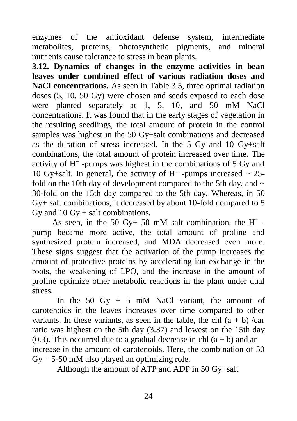enzymes of the antioxidant defense system, intermediate metabolites, proteins, photosynthetic pigments, and mineral nutrients cause tolerance to stress in bean plants.

**3.12. Dynamics of changes in the enzyme activities in bean leaves under combined effect of various radiation doses and NaCl concentrations.** As seen in Table 3.5, three optimal radiation doses (5, 10, 50 Gy) were chosen and seeds exposed to each dose were planted separately at 1, 5, 10, and 50 mM NaCl concentrations. It was found that in the early stages of vegetation in the resulting seedlings, the total amount of protein in the control samples was highest in the 50 Gy+salt combinations and decreased as the duration of stress increased. In the 5 Gy and 10 Gy+salt combinations, the total amount of protein increased over time. The activity of  $H^+$ -pumps was highest in the combinations of 5 Gy and 10 Gy+salt. In general, the activity of  $H^+$  -pumps increased ~ 25fold on the 10th day of development compared to the 5th day, and  $\sim$ 30-fold on the 15th day compared to the 5th day. Whereas, in 50 Gy+ salt combinations, it decreased by about 10-fold compared to 5 Gy and  $10 \text{ Gy} + \text{salt combinations.}$ 

As seen, in the 50 Gy+ 50 mM salt combination, the  $H^+$  pump became more active, the total amount of proline and synthesized protein increased, and MDA decreased even more. These signs suggest that the activation of the pump increases the amount of protective proteins by accelerating ion exchange in the roots, the weakening of LPO, and the increase in the amount of proline optimize other metabolic reactions in the plant under dual stress.

In the 50 Gy  $+$  5 mM NaCl variant, the amount of carotenoids in the leaves increases over time compared to other variants. In these variants, as seen in the table, the chl  $(a + b)$  /car ratio was highest on the 5th day (3.37) and lowest on the 15th day  $(0.3)$ . This occurred due to a gradual decrease in chl  $(a + b)$  and an increase in the amount of carotenoids. Here, the combination of 50  $Gy + 5-50$  mM also played an optimizing role.

Although the amount of ATP and ADP in 50 Gy+salt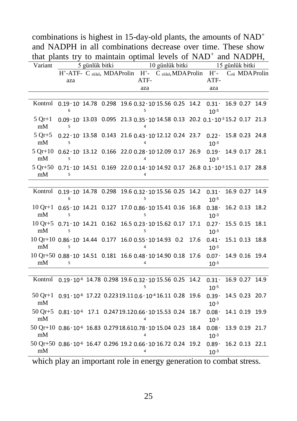| and NADFH in an combinations decrease over time. These show<br>that plants try to maintain optimal levels of NAD <sup>+</sup> and NADPH, |                                                                                                                  |  |      |                 |  |      |                                          |  |                 |                            |
|------------------------------------------------------------------------------------------------------------------------------------------|------------------------------------------------------------------------------------------------------------------|--|------|-----------------|--|------|------------------------------------------|--|-----------------|----------------------------|
|                                                                                                                                          |                                                                                                                  |  |      |                 |  |      |                                          |  |                 |                            |
| Variant                                                                                                                                  | 5 günlük bitki<br>H <sup>+</sup> -ATF- C zülal, MDAProlin H <sup>+</sup> - C zülal, MDAProlin H <sup>+</sup> -   |  |      | 10 günlük bitki |  |      |                                          |  | 15 günlük bitki | C <sub>zü</sub> MDA Prolin |
|                                                                                                                                          | aza                                                                                                              |  | ATF- |                 |  |      | ATF-                                     |  |                 |                            |
|                                                                                                                                          |                                                                                                                  |  | aza  |                 |  |      | aza                                      |  |                 |                            |
|                                                                                                                                          |                                                                                                                  |  |      |                 |  |      |                                          |  |                 |                            |
| Kontrol                                                                                                                                  | $0.19 \cdot 10$ 14.78 $0.298$ 19.6 $0.32 \cdot 10$ 15.56 0.25 14.2                                               |  |      |                 |  |      | $0.31 \cdot 16.9 0.27 14.9$<br>$10^{-5}$ |  |                 |                            |
| $5$ Or+1<br>$\rm{mM}$                                                                                                                    | $0.09 \cdot 10^{-13.03}$ $0.095$ 21.3 $0.35 \cdot 10^{-14.58}$ 0.13 20.2 $0.1 \cdot 10^{-3}$ 15.2 0.17 21.3<br>5 |  |      |                 |  |      |                                          |  |                 |                            |
| $5$ Or+5<br>mM                                                                                                                           | $0.22 \cdot 10$ 13.58 $0.143$ 21.6 $0.43 \cdot 10$ 12.12 0.24 23.7<br>5                                          |  |      |                 |  |      | $0.22 \cdot$<br>$10^{-3}$                |  | 15.8 0.23 24.8  |                            |
| $5 \text{ Or}+10$<br>mM                                                                                                                  | $0.62 \cdot 10$ 13.12 $0.166$ 22.0 $0.28 \cdot 10$ 12.09 0.17 26.9<br>5                                          |  |      |                 |  |      | $0.19 \cdot$<br>$10^{-3}$                |  | 14.9 0.17 28.1  |                            |
| mM                                                                                                                                       | 5 Qr+50 0.71 10 14.51 0.169 22.0 0.14 10 14.92 0.17 26.8 0.1 10 3 15.1 0.17 28.8<br>5                            |  |      |                 |  |      |                                          |  |                 |                            |
|                                                                                                                                          |                                                                                                                  |  |      |                 |  |      |                                          |  |                 |                            |
|                                                                                                                                          | Kontrol $0.19 \cdot 10$ 14.78 0.298 19.6 0.32 10 15.56 0.25 14.2<br>6                                            |  | 5    |                 |  |      | $0.31 \cdot$<br>$10^{-5}$                |  |                 | 16.9 0.27 14.9             |
| mM                                                                                                                                       | $10 Qr+1$ 0.65 0 14.21 0.127 17.0 0.86 10 15.41 0.16 16.8<br>5                                                   |  | 5    |                 |  |      | $0.38+$<br>$10^{-3}$                     |  | 16.2 0.13 18.2  |                            |
| mM                                                                                                                                       | $10Qr+5$ 0.71 $10$ 14.21 0.162 16.5 0.23 10 15.62 0.17 17.1<br>5                                                 |  | 5    |                 |  |      | $0.27 -$<br>$10^{-3}$                    |  | 15.5 0.15 18.1  |                            |
| mM                                                                                                                                       | $10 Qr+10 0.86 \cdot 10 14.44 0.177 16.0 0.55 \cdot 10 14.93 0.2$<br>5                                           |  | 4    |                 |  | 17.6 | $0.41 \cdot$<br>$10^{-3}$                |  | 15.1 0.13 18.8  |                            |
| mM                                                                                                                                       | 10 Qr+50 0.88 · 10 14.51 0.181 16.6 0.48 · 10 14.90 0.18 17.6<br>5                                               |  |      |                 |  |      | $0.07 \cdot$<br>$10^{-3}$                |  | 14.9 0.16 19.4  |                            |
|                                                                                                                                          |                                                                                                                  |  |      |                 |  |      |                                          |  |                 |                            |
|                                                                                                                                          | Kontrol 0.19 · 10 <sup>-6</sup> 14.78 0.298 19.6 0.32 · 10 15.56 0.25 14.2                                       |  |      |                 |  |      | $0.31 \cdot$<br>$10^{-5}$                |  | 16.9 0.27 14.9  |                            |
| 50 Qr+1<br>mM                                                                                                                            | $0.91 \cdot 10^{-6}$ 17.22 $0.22319.110.6 \cdot 10^{-4}$ 16.11 0.28 19.6                                         |  |      |                 |  |      | $0.39 -$<br>$10^{-3}$                    |  | 14.5 0.23 20.7  |                            |
| $50Qr+5$<br>mM                                                                                                                           | $0.81 \cdot 10^{-6}$ 17.1 $0.24719.120.66 \cdot 10^{-15.53}$ 0.24 18.7                                           |  |      |                 |  |      | $0.08+$<br>$10^{-3}$                     |  | 14.1 0.19 19.9  |                            |
| mM                                                                                                                                       | $50 Qr+10 0.86 \cdot 10^{-6} 16.83 0.27918.610.78 \cdot 10.15.04 0.23 18.4$                                      |  |      |                 |  |      | $0.08+$<br>$10^{-3}$                     |  | 13.9 0.19 21.7  |                            |
| mM                                                                                                                                       | $50 Qr + 50 0.86 \cdot 10^{-6} 16.47 0.296 19.2 0.66 \cdot 10^{-16} 0.24 19.2$                                   |  |      |                 |  |      | $0.89+$<br>$10^{-3}$                     |  | 16.2 0.13 22.1  |                            |
|                                                                                                                                          |                                                                                                                  |  |      |                 |  |      |                                          |  |                 |                            |

combinations is highest in 15-day-old plants, the amounts of NAD<sup>+</sup> and NADPH in all combinations decrease over time. These show

which play an important role in energy generation to combat stress.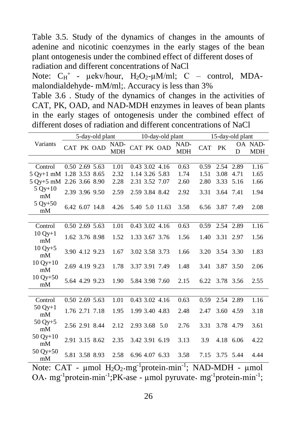Table 3.5. Study of the dynamics of changes in the amounts of adenine and nicotinic coenzymes in the early stages of the bean plant ontogenesis under the combined effect of different doses of radiation and different concentrations of NaCl

Note:  $C_H^+$  -  $\mu$ ekv/hour,  $H_2O_2$ - $\mu$ M/ml; C – control, MDAmalondialdehyde- mM/ml;. Accuracy is less than 3%

Table 3.6 . Study of the dynamics of changes in the activities of CAT, PK, OAD, and NAD-MDH enzymes in leaves of bean plants in the early stages of ontogenesis under the combined effect of different doses of radiation and different concentrations of NaCl

|                          |                      | 5-day-old plant |                                        | 10-day-old plant | 15-day-old plant   |        |                |           |                       |
|--------------------------|----------------------|-----------------|----------------------------------------|------------------|--------------------|--------|----------------|-----------|-----------------------|
| Variants                 | CAT PK OAD           |                 | NAD-<br><b>MDH</b>                     | CAT PK OAD       | NAD-<br><b>MDH</b> | CAT PK |                | D         | OA NAD-<br><b>MDH</b> |
|                          |                      |                 |                                        |                  |                    |        |                |           |                       |
| Control                  | 0.502.695.63         |                 | 1.01                                   | 0.43, 3.02, 4.16 | 0.63               |        | 0.59 2.54 2.89 |           | 1.16                  |
| 5 Oy+1 mM 1.28 3.53 8.65 |                      |                 | 2.32                                   | 1.14 3.26 5.83   | 1.74               | 1.51   | 3.08 4.71      |           | 1.65                  |
| 5 Oy+5 mM 2.26 3.66 8.90 |                      |                 | 2.28                                   | 2.31 3.52 7.07   | 2.60               | 2.80   | 3.33 5.16      |           | 1.66                  |
| $5 Qy + 10$<br>mM        | 2.39 3.96 9.50       |                 | 2.59                                   | 2.59 3.84 8.42   | 2.92               | 3.31   | 3.64 7.41      |           | 1.94                  |
| $5 Qy + 50$<br>mM        | 6.42 6.07 14.8       |                 | 4.26                                   | 5.40 5.0 11.63   | 3.58               | 6.56   | 3.87 7.49      |           | 2.08                  |
|                          |                      |                 |                                        |                  |                    |        |                |           |                       |
| Control                  | 0.50 2.69 5.63       |                 | 1.01                                   | 0.43 3.02 4.16   | 0.63               | 0.59   | 2.54 2.89      |           | 1.16                  |
| $10 Qy + 1$<br>mM        | 1.62 3.76 8.98       |                 | 1.52                                   | 1.33 3.67 3.76   | 1.56               | 1.40   | 3.31 2.97      |           | 1.56                  |
| $10 Qy + 5$<br>mM        | 3.90 4.12 9.23       |                 | 1.67                                   | 3.02 3.58 3.73   | 1.66               |        | 3.20 3.54 3.30 |           | 1.83                  |
| $10 Qy + 10$<br>mM       | 2.69 4.19 9.23       |                 | 1.78                                   | 3.37 3.91 7.49   | 1.48               | 3.41   | 3.87 3.50      |           | 2.06                  |
| $10 Qy + 50$<br>mM       | 5.64 4.29 9.23       |                 | 1.90                                   | 5.84 3.98 7.60   | 2.15               |        | 6.22 3.78 3.56 |           | 2.55                  |
|                          |                      |                 |                                        |                  |                    |        |                |           |                       |
| Control                  | 0.50 2.69 5.63       |                 | 1.01                                   | 0.43 3.02 4.16   | 0.63               | 0.59   | 2.54 2.89      |           | 1.16                  |
| $50 Qy + 1$<br>mM        | 1.76 2.71 7.18       |                 | 1.95                                   | 1.99 3.40 4.83   | 2.48               | 2.47   | 3.60 4.59      |           | 3.18                  |
| $50 Qy + 5$<br>mM        | 2.56 2.91 8.44       |                 | 2.12                                   | 2.93 3.68 5.0    | 2.76               | 3.31   | 3.78 4.79      |           | 3.61                  |
| $50 Qy + 10$<br>mM       | 2.91 3.15 8.62       |                 | 2.35                                   | 3.42 3.91 6.19   | 3.13               | 3.9    |                | 4.18 6.06 | 4.22                  |
| $50 Qy + 50$<br>mM       | 5.81 3.58 8.93       |                 | 2.58                                   | 6.96 4.07 6.33   | 3.58               |        | 7.15 3.75 5.44 |           | 4.44                  |
|                          | $\sim$ $\sim$ $\sim$ |                 | $\mathbf{r}$ $\mathbf{r}$ $\mathbf{r}$ | $\overline{1}$   |                    |        |                |           |                       |

Note: CAT - µmol H<sub>2</sub>O<sub>2</sub>·mg<sup>-1</sup>protein·min<sup>-1</sup>; NAD-MDH - µmol OA· mg<sup>-1</sup>protein·min<sup>-1</sup>;PK-ase - µmol pyruvate· mg<sup>-1</sup>protein·min<sup>-1</sup>;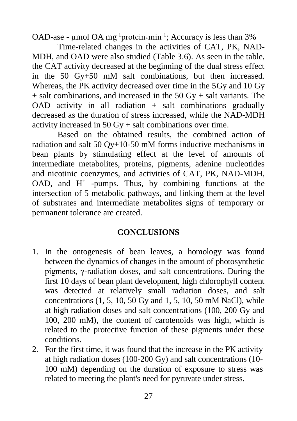OAD-ase -  $\mu$ mol OA mg<sup>-1</sup>protein·min<sup>-1</sup>; Accuracy is less than 3%

Time-related changes in the activities of CAT, PK, NAD-MDH, and OAD were also studied (Table 3.6). As seen in the table, the CAT activity decreased at the beginning of the dual stress effect in the 50 Gy+50 mM salt combinations, but then increased. Whereas, the PK activity decreased over time in the 5Gy and 10 Gy  $+$  salt combinations, and increased in the 50 Gy  $+$  salt variants. The OAD activity in all radiation  $+$  salt combinations gradually decreased as the duration of stress increased, while the NAD-MDH activity increased in 50 Gy + salt combinations over time.

Based on the obtained results, the combined action of radiation and salt 50 Qy+10-50 mM forms inductive mechanisms in bean plants by stimulating effect at the level of amounts of intermediate metabolites, proteins, pigments, adenine nucleotides and nicotinic coenzymes, and activities of CAT, PK, NAD-MDH, OAD, and  $H^+$  -pumps. Thus, by combining functions at the intersection of 5 metabolic pathways, and linking them at the level of substrates and intermediate metabolites signs of temporary or permanent tolerance are created.

### **CONCLUSIONS**

- 1. In the ontogenesis of bean leaves, a homology was found between the dynamics of changes in the amount of photosynthetic pigments, γ-radiation doses, and salt concentrations. During the first 10 days of bean plant development, high chlorophyll content was detected at relatively small radiation doses, and salt concentrations  $(1, 5, 10, 50 \text{ Gy and } 1, 5, 10, 50 \text{ mM NaCl})$ , while at high radiation doses and salt concentrations (100, 200 Gy and 100, 200 mM), the content of carotenoids was high, which is related to the protective function of these pigments under these conditions.
- 2. For the first time, it was found that the increase in the PK activity at high radiation doses (100-200 Gy) and salt concentrations (10- 100 mM) depending on the duration of exposure to stress was related to meeting the plant's need for pyruvate under stress.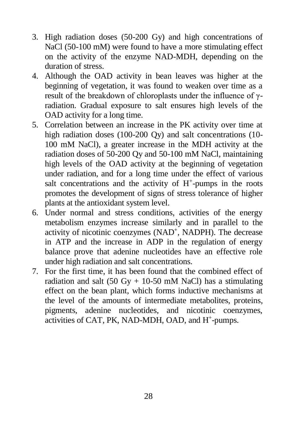- 3. High radiation doses (50-200 Gy) and high concentrations of NaCl (50-100 mM) were found to have a more stimulating effect on the activity of the enzyme NAD-MDH, depending on the duration of stress.
- 4. Although the OAD activity in bean leaves was higher at the beginning of vegetation, it was found to weaken over time as a result of the breakdown of chloroplasts under the influence of γradiation. Gradual exposure to salt ensures high levels of the OAD activity for a long time.
- 5. Correlation between an increase in the PK activity over time at high radiation doses (100-200 Oy) and salt concentrations (10-100 mM NaCl), a greater increase in the MDH activity at the radiation doses of 50-200 Qy and 50-100 mM NaCl, maintaining high levels of the OAD activity at the beginning of vegetation under radiation, and for a long time under the effect of various salt concentrations and the activity of  $H^+$ -pumps in the roots promotes the development of signs of stress tolerance of higher plants at the antioxidant system level.
- 6. Under normal and stress conditions, activities of the energy metabolism enzymes increase similarly and in parallel to the activity of nicotinic coenzymes (NAD<sup>+</sup>, NADPH). The decrease in ATP and the increase in ADP in the regulation of energy balance prove that adenine nucleotides have an effective role under high radiation and salt concentrations.
- 7. For the first time, it has been found that the combined effect of radiation and salt (50 Gy + 10-50 mM NaCl) has a stimulating effect on the bean plant, which forms inductive mechanisms at the level of the amounts of intermediate metabolites, proteins, pigments, adenine nucleotides, and nicotinic coenzymes, activities of CAT, PK, NAD-MDH, OAD, and H<sup>+</sup>-pumps.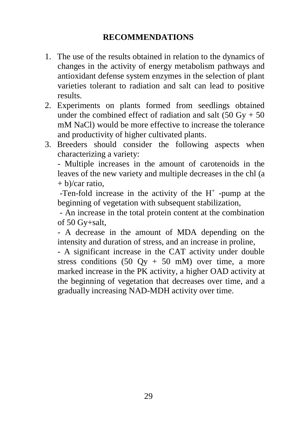## **RECOMMENDATIONS**

- 1. The use of the results obtained in relation to the dynamics of changes in the activity of energy metabolism pathways and antioxidant defense system enzymes in the selection of plant varieties tolerant to radiation and salt can lead to positive results.
- 2. Experiments on plants formed from seedlings obtained under the combined effect of radiation and salt  $(50 \text{ Gy} + 50)$ mM NaCl) would be more effective to increase the tolerance and productivity of higher cultivated plants.
- 3. Breeders should consider the following aspects when characterizing a variety:

- Multiple increases in the amount of carotenoids in the leaves of the new variety and multiple decreases in the chl (a  $+ b$ /car ratio.

-Ten-fold increase in the activity of the  $H^+$  -pump at the beginning of vegetation with subsequent stabilization,

- An increase in the total protein content at the combination of 50 Gy+salt,

- A decrease in the amount of MDA depending on the intensity and duration of stress, and an increase in proline,

- A significant increase in the CAT activity under double stress conditions  $(50 \text{ Oy} + 50 \text{ mM})$  over time, a more marked increase in the PK activity, a higher OAD activity at the beginning of vegetation that decreases over time, and a gradually increasing NAD-MDH activity over time.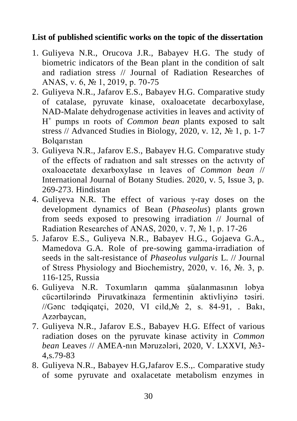### **List of published scientific works on the topic of the dissertation**

- 1. Guliyeva N.R., Orucova J.R., Babayev H.G. The study of biometric indicators of the Bean plant in the condition of salt and radiation stress // Journal of Radiation Researches of ANAS, v. 6, № 1, 2019, p. 70-75
- 2. Guliyeva N.R., Jafarov E.S., Babayev H.G. Comparative study of catalase, pyruvate kinase, oxaloacetate decarboxylase, NAD-Malate dehydrogenase activities in leaves and activity of H + pumps ın roots of *Common bean* plants exposed to salt stress // Advanced Studies in Biology, 2020, v. 12,  $\mathbb{N}$  1, p. 1-7 Bolqarıstan
- 3. Guliyeva N.R., Jafarov E.S., Babayev H.G. Comparatıve study of the effects of radıatıon and salt stresses on the actıvıty of oxaloacetate dexarboxylase ın leaves of *Common bean* // International Journal of Botany Studies. 2020, v. 5, Issue 3, p. 269-273. Hindistan
- 4. Guliyeva N.R. The effect of various γ-ray doses on the development dynamics of Bean (*Phaseolus*) plants grown from seeds exposed to presowing irradiation // Journal of Radiation Researches of ANAS, 2020, v. 7, № 1, p. 17-26
- 5. Jafarov E.S., Guliyeva N.R., Babayev H.G., Gojaeva G.A., Mamedova G.A. Role of pre-sowing gamma-irradiation of seeds in the salt-resistance of *Phaseolus vulgaris* L. // Journal of Stress Physiology and Biochemistry, 2020, v. 16, №. 3, p. 116-125, Russia
- 6. Guliyeva N.R. Toxumların qamma şüalanmasının lobya cücərtilərində Piruvatkinaza fermentinin aktivliyinə təsiri. //Gənc tədqiqatçi, 2020, VI cild,№ 2, s. 84-91, . Bakı, Azərbaycan,
- 7. Guliyeva N.R., Jafarov E.S., Babayev H.G. Effect of various radiation doses on the pyruvate kinase activity in *Common bean* Leaves // AMEA-nın Məruzələri, 2020, V. LXXVI, №3- 4,s.79-83
- 8. Guliyeva N.R., Babayev H.G,Jafarov E.S.,. Comparative study of some pyruvate and oxalacetate metabolism enzymes in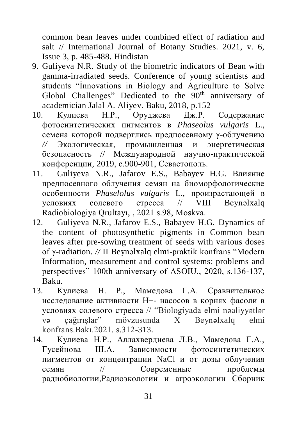common bean leaves under combined effect of radiation and salt // International Journal of Botany Studies. 2021, v. 6, Issue 3, p. 485-488. Hindistan

- 9. Guliyeva N.R. Study of the biometric indicators of Bean with gamma-irradiated seeds. Conference of young scientists and students "İnnovations in Biology and Agriculture to Solve Global Challenges" Dedicated to the 90<sup>th</sup> anniversary of academician Jalal A. Aliyev. Baku, 2018, p.152
- 10. Кулиева Н.Р., Оруджева Дж.Р. Содержание фотосинтетических пигментов в *Phaseolus vulgaris* L., семена которой подверглись предпосевному γ-облучению *//* Экологическая, промышленная и энергетическая безопасность // Mеждународной научно-практической конференции, 2019, с.900-901, Севастополь.
- 11. Guliyeva N.R., Jafarov E.S., Babayev H.G. Влияние предпосевного облучения семян на биоморфологические особенности *Phaselolus vulgaris* L*.,* произрастающей в условиях солевого стресса // VIII Beynəlxalq Radiobiologiya Qrultayı, , 2021 s.98, Moskva.
- 12. Guliyeva N.R., Jafarov E.S., Babayev H.G. Dynamics of the content of photosynthetic pigments in Common bean leaves after pre-sowing treatment of seeds with various doses of γ-radiation. *//* II Beynəlxalq elmi-praktik konfrans "Modern Information, measurement and control systems: problems and perspectives" 100th anniversary of ASOIU., 2020, s.136-137, Baku.
- 13. Кулиева Н. Р., Мамедова Г.А. Cравнительное исследование активности H+- насосов в корнях фасоли в условиях солевого стресса // "Biologiyada elmi nəaliyyətlər və çağırışlar" mövzusunda X Beynəlxalq elmi konfrans.Bakı.2021. s.312-313.
- 14. Кулиева Н.Р., Аллахвердиева Л.В., Мамедова Г.А., Гусейнова Ш.А. Зависимости фотосинтетических пигментов от концентрации NаCl и от дозы облучения семян // Современные проблемы радиобиологии,Радиоэкологии и агроэкологии Сборник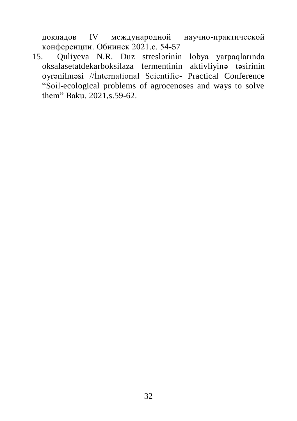докладов IV международной научно-практической конференции. Обнинск 2021.с. 54-57

15. Quliyeva N.R. Duz streslərinin lobya yarpaqlarında oksalasetatdekarboksilaza fermentinin aktivliyinə təsirinin oyrənilməsi //İnternational Scientific- Practical Conference "Soil-ecological problems of agrocenoses and ways to solve them" Baku. 2021,s.59-62.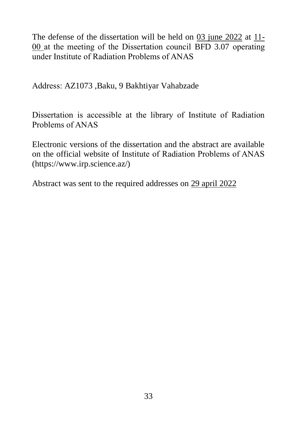The defense of the dissertation will be held on 03 june 2022 at 11- 00 at the meeting of the Dissertation council BFD 3.07 operating under Institute of Radiation Problems of ANAS

Address: AZ1073 ,Baku, 9 Bakhtiyar Vahabzade

Dissertation is accessible at the library of Institute of Radiation Problems of ANAS

Electronic versions of the dissertation and the abstract are available on the official website of Institute of Radiation Problems of ANAS (https://www.irp.science.az/)

Abstract was sent to the required addresses on 29 april 2022